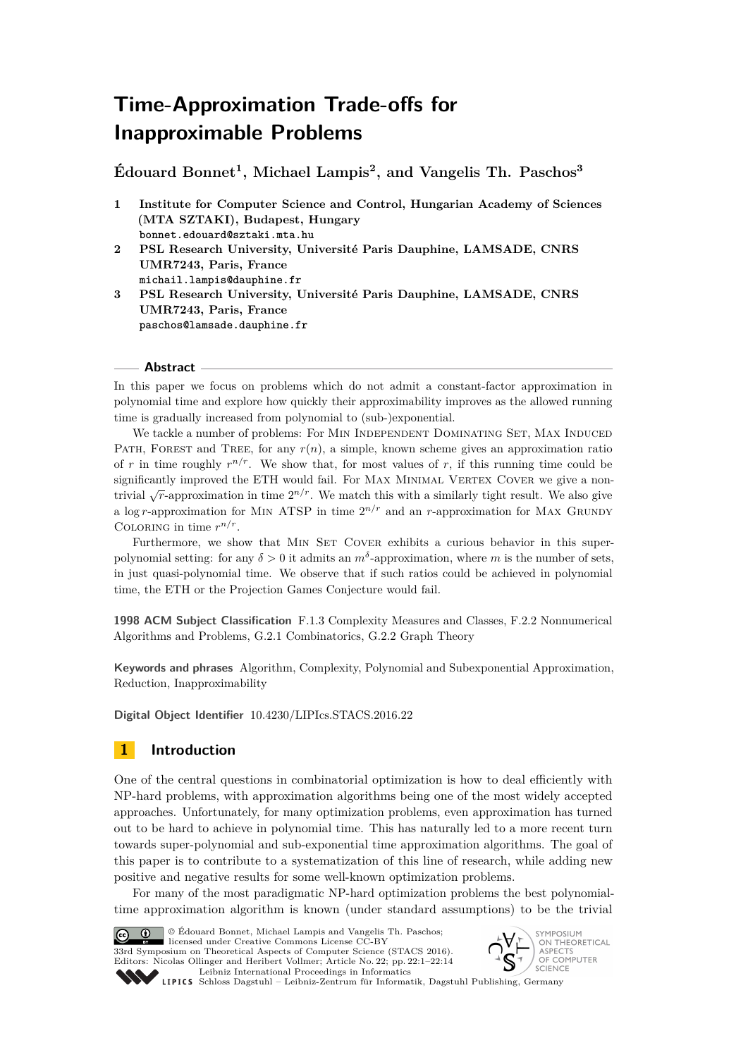# **Time-Approximation Trade-offs for Inapproximable Problems**

**Édouard Bonnet<sup>1</sup> , Michael Lampis<sup>2</sup> , and Vangelis Th. Paschos<sup>3</sup>**

- **1 Institute for Computer Science and Control, Hungarian Academy of Sciences (MTA SZTAKI), Budapest, Hungary bonnet.edouard@sztaki.mta.hu**
- **2 PSL Research University, Université Paris Dauphine, LAMSADE, CNRS UMR7243, Paris, France michail.lampis@dauphine.fr**
- **3 PSL Research University, Université Paris Dauphine, LAMSADE, CNRS UMR7243, Paris, France paschos@lamsade.dauphine.fr**

#### **Abstract**

In this paper we focus on problems which do not admit a constant-factor approximation in polynomial time and explore how quickly their approximability improves as the allowed running time is gradually increased from polynomial to (sub-)exponential.

We tackle a number of problems: For MIN INDEPENDENT DOMINATING SET, MAX INDUCED PATH, FOREST and TREE, for any  $r(n)$ , a simple, known scheme gives an approximation ratio of r in time roughly  $r^{n/r}$ . We show that, for most values of r, if this running time could be significantly improved the ETH would fail. For MAX MINIMAL VERTEX COVER we give a nontrivial  $\sqrt{r}$ -approximation in time  $2^{n/r}$ . We match this with a similarly tight result. We also give a log *r*-approximation for MIN ATSP in time  $2^{n/r}$  and an *r*-approximation for MAX GRUNDY COLORING in time  $r^{n/r}$ .

Furthermore, we show that MIN SET COVER exhibits a curious behavior in this superpolynomial setting: for any  $\delta > 0$  it admits an  $m^{\delta}$ -approximation, where *m* is the number of sets, in just quasi-polynomial time. We observe that if such ratios could be achieved in polynomial time, the ETH or the Projection Games Conjecture would fail.

**1998 ACM Subject Classification** F.1.3 Complexity Measures and Classes, F.2.2 Nonnumerical Algorithms and Problems, G.2.1 Combinatorics, G.2.2 Graph Theory

**Keywords and phrases** Algorithm, Complexity, Polynomial and Subexponential Approximation, Reduction, Inapproximability

**Digital Object Identifier** [10.4230/LIPIcs.STACS.2016.22](http://dx.doi.org/10.4230/LIPIcs.STACS.2016.22)

# **1 Introduction**

One of the central questions in combinatorial optimization is how to deal efficiently with NP-hard problems, with approximation algorithms being one of the most widely accepted approaches. Unfortunately, for many optimization problems, even approximation has turned out to be hard to achieve in polynomial time. This has naturally led to a more recent turn towards super-polynomial and sub-exponential time approximation algorithms. The goal of this paper is to contribute to a systematization of this line of research, while adding new positive and negative results for some well-known optimization problems.

For many of the most paradigmatic NP-hard optimization problems the best polynomialtime approximation algorithm is known (under standard assumptions) to be the trivial



© Édouard Bonnet, Michael Lampis and Vangelis Th. Paschos; licensed under Creative Commons License CC-BY 33rd Symposium on Theoretical Aspects of Computer Science (STACS 2016). Editors: Nicolas Ollinger and Heribert Vollmer; Article No. 22; pp. 22:1–22[:14](#page-13-0) [Leibniz International Proceedings in Informatics](http://www.dagstuhl.de/lipics/)



Leibniz international russes in missimosische Publishing, Germany<br>LIPICS [Schloss Dagstuhl – Leibniz-Zentrum für Informatik, Dagstuhl Publishing, Germany](http://www.dagstuhl.de)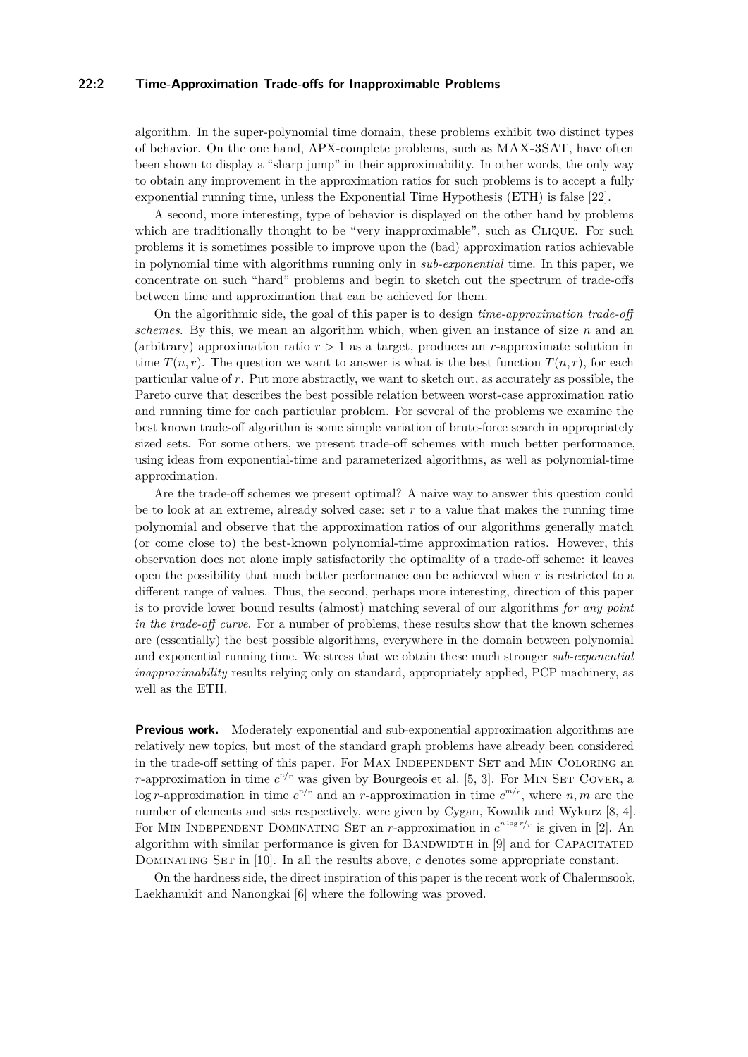#### **22:2 Time-Approximation Trade-offs for Inapproximable Problems**

algorithm. In the super-polynomial time domain, these problems exhibit two distinct types of behavior. On the one hand, APX-complete problems, such as MAX-3SAT, have often been shown to display a "sharp jump" in their approximability. In other words, the only way to obtain any improvement in the approximation ratios for such problems is to accept a fully exponential running time, unless the Exponential Time Hypothesis (ETH) is false [\[22\]](#page-12-0).

A second, more interesting, type of behavior is displayed on the other hand by problems which are traditionally thought to be "very inapproximable", such as CLIQUE. For such problems it is sometimes possible to improve upon the (bad) approximation ratios achievable in polynomial time with algorithms running only in *sub-exponential* time. In this paper, we concentrate on such "hard" problems and begin to sketch out the spectrum of trade-offs between time and approximation that can be achieved for them.

On the algorithmic side, the goal of this paper is to design *time-approximation trade-off schemes*. By this, we mean an algorithm which, when given an instance of size *n* and an (arbitrary) approximation ratio  $r > 1$  as a target, produces an *r*-approximate solution in time  $T(n,r)$ . The question we want to answer is what is the best function  $T(n,r)$ , for each particular value of *r*. Put more abstractly, we want to sketch out, as accurately as possible, the Pareto curve that describes the best possible relation between worst-case approximation ratio and running time for each particular problem. For several of the problems we examine the best known trade-off algorithm is some simple variation of brute-force search in appropriately sized sets. For some others, we present trade-off schemes with much better performance, using ideas from exponential-time and parameterized algorithms, as well as polynomial-time approximation.

Are the trade-off schemes we present optimal? A naive way to answer this question could be to look at an extreme, already solved case: set  $r$  to a value that makes the running time polynomial and observe that the approximation ratios of our algorithms generally match (or come close to) the best-known polynomial-time approximation ratios. However, this observation does not alone imply satisfactorily the optimality of a trade-off scheme: it leaves open the possibility that much better performance can be achieved when *r* is restricted to a different range of values. Thus, the second, perhaps more interesting, direction of this paper is to provide lower bound results (almost) matching several of our algorithms *for any point in the trade-off curve*. For a number of problems, these results show that the known schemes are (essentially) the best possible algorithms, everywhere in the domain between polynomial and exponential running time. We stress that we obtain these much stronger *sub-exponential inapproximability* results relying only on standard, appropriately applied, PCP machinery, as well as the ETH.

**Previous work.** Moderately exponential and sub-exponential approximation algorithms are relatively new topics, but most of the standard graph problems have already been considered in the trade-off setting of this paper. For MAX INDEPENDENT SET and MIN COLORING an *r*-approximation in time  $c^{n/r}$  was given by Bourgeois et al. [\[5,](#page-11-0) [3\]](#page-11-1). For MIN SET COVER, a log *r*-approximation in time  $c^{n/r}$  and an *r*-approximation in time  $c^{m/r}$ , where *n, m* are the number of elements and sets respectively, were given by Cygan, Kowalik and Wykurz [\[8,](#page-11-2) [4\]](#page-11-3). For MIN INDEPENDENT DOMINATING SET an *r*-approximation in  $c^{n \log r/r}$  is given in [\[2\]](#page-11-4). An algorithm with similar performance is given for BANDWIDTH in  $[9]$  and for CAPACITATED DOMINATING SET in [\[10\]](#page-12-2). In all the results above, *c* denotes some appropriate constant.

On the hardness side, the direct inspiration of this paper is the recent work of Chalermsook, Laekhanukit and Nanongkai [\[6\]](#page-11-5) where the following was proved.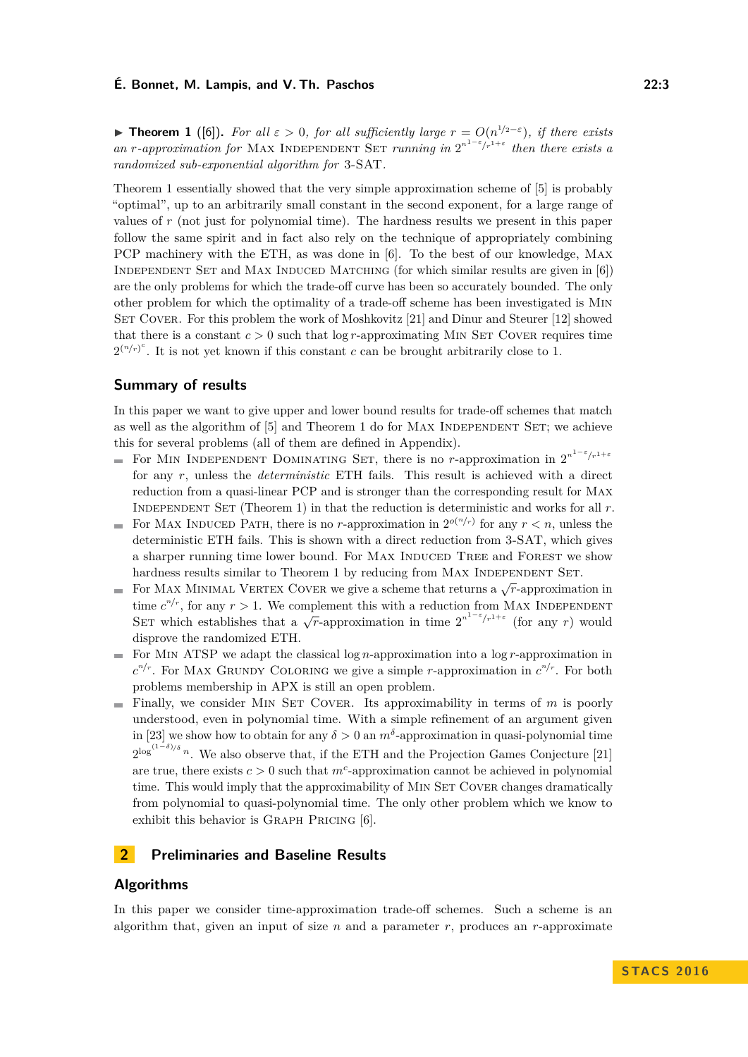<span id="page-2-0"></span>**► Theorem 1** ([\[6\]](#page-11-5)). For all  $\varepsilon > 0$ , for all sufficiently large  $r = O(n^{1/2-\varepsilon})$ , if there exists *an r*-*approximation for* MAX INDEPENDENT SET *running in*  $2^{n^{1-\epsilon}/r^{1+\epsilon}}$  *then there exists a randomized sub-exponential algorithm for* 3-SAT*.*

Theorem [1](#page-2-0) essentially showed that the very simple approximation scheme of [\[5\]](#page-11-0) is probably "optimal", up to an arbitrarily small constant in the second exponent, for a large range of values of *r* (not just for polynomial time). The hardness results we present in this paper follow the same spirit and in fact also rely on the technique of appropriately combining PCP machinery with the ETH, as was done in [\[6\]](#page-11-5). To the best of our knowledge, Max Independent Set and Max Induced Matching (for which similar results are given in [\[6\]](#page-11-5)) are the only problems for which the trade-off curve has been so accurately bounded. The only other problem for which the optimality of a trade-off scheme has been investigated is Min SET COVER. For this problem the work of Moshkovitz [\[21\]](#page-12-3) and Dinur and Steurer [\[12\]](#page-12-4) showed that there is a constant  $c > 0$  such that  $\log r$ -approximating MIN SET COVER requires time  $2^{(n/r)^c}$ . It is not yet known if this constant *c* can be brought arbitrarily close to 1.

#### **Summary of results**

In this paper we want to give upper and lower bound results for trade-off schemes that match as well as the algorithm of  $[5]$  and Theorem [1](#page-2-0) do for MAX INDEPENDENT SET; we achieve this for several problems (all of them are defined in Appendix).

- For MIN INDEPENDENT DOMINATING SET, there is no *r*-approximation in  $2^{n^{1-\epsilon}/r^{1+\epsilon}}$ for any *r*, unless the *deterministic* ETH fails. This result is achieved with a direct reduction from a quasi-linear PCP and is stronger than the corresponding result for Max INDEPENDENT SET (Theorem [1\)](#page-2-0) in that the reduction is deterministic and works for all  $r$ .
- For MAX INDUCED PATH, there is no *r*-approximation in  $2^{o(n/r)}$  for any  $r < n$ , unless the deterministic ETH fails. This is shown with a direct reduction from 3-SAT, which gives a sharper running time lower bound. For MAX INDUCED TREE and FOREST we show hardness results similar to Theorem [1](#page-2-0) by reducing from MAX INDEPENDENT SET.
- $F$  and  $F$  approximate to the otem that reducing non-max research set  $F$ .<br>For MAX MINIMAL VERTEX COVER we give a scheme that returns a  $\sqrt{r}$ -approximation in time  $c^{n/r}$ , for any  $r > 1$ . We complement this with a reduction from MAX INDEPENDENT SET which establishes that a  $\sqrt{r}$ -approximation in time  $2^{n^{1-\epsilon}/r^{1+\epsilon}}$  (for any *r*) would disprove the randomized ETH.
- For M<sub>IN</sub> ATSP we adapt the classical log *n*-approximation into a log *r*-approximation in  $c^{n/r}$ . For MAX GRUNDY COLORING we give a simple *r*-approximation in  $c^{n/r}$ . For both problems membership in APX is still an open problem.
- $\blacksquare$  Finally, we consider MIN SET COVER. Its approximability in terms of *m* is poorly understood, even in polynomial time. With a simple refinement of an argument given in [\[23\]](#page-12-5) we show how to obtain for any  $\delta > 0$  an  $m^{\delta}$ -approximation in quasi-polynomial time 2 log(1−*δ*)*/δ <sup>n</sup>*. We also observe that, if the ETH and the Projection Games Conjecture [\[21\]](#page-12-3) are true, there exists  $c > 0$  such that  $m^c$ -approximation cannot be achieved in polynomial time. This would imply that the approximability of MIN SET COVER changes dramatically from polynomial to quasi-polynomial time. The only other problem which we know to exhibit this behavior is GRAPH PRICING [\[6\]](#page-11-5).

#### **2 Preliminaries and Baseline Results**

# **Algorithms**

In this paper we consider time-approximation trade-off schemes. Such a scheme is an algorithm that, given an input of size  $n$  and a parameter  $r$ , produces an  $r$ -approximate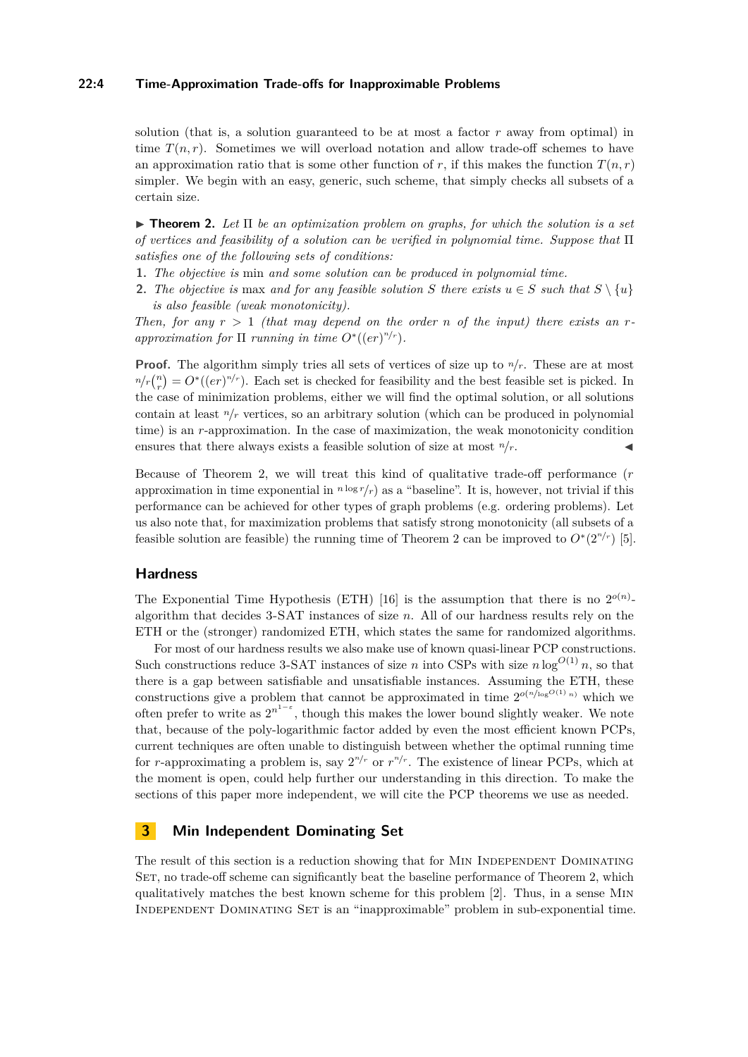## **22:4 Time-Approximation Trade-offs for Inapproximable Problems**

solution (that is, a solution guaranteed to be at most a factor *r* away from optimal) in time  $T(n,r)$ . Sometimes we will overload notation and allow trade-off schemes to have an approximation ratio that is some other function of *r*, if this makes the function  $T(n,r)$ simpler. We begin with an easy, generic, such scheme, that simply checks all subsets of a certain size.

<span id="page-3-0"></span>I **Theorem 2.** *Let* Π *be an optimization problem on graphs, for which the solution is a set of vertices and feasibility of a solution can be verified in polynomial time. Suppose that* Π *satisfies one of the following sets of conditions:*

- **1.** *The objective is* min *and some solution can be produced in polynomial time.*
- **2.** *The objective is* max *and for any feasible solution S there exists*  $u \in S$  *such that*  $S \setminus \{u\}$ *is also feasible (weak monotonicity).*

*Then, for any*  $r > 1$  *(that may depend on the order n of the input) there exists an rapproximation for*  $\Pi$  *running in time*  $O^*((er)^{n/r})$ *.* 

**Proof.** The algorithm simply tries all sets of vertices of size up to  $n/r$ . These are at most  $n/r \binom{n}{r} = O^*( (er)^{n/r})$ . Each set is checked for feasibility and the best feasible set is picked. In the case of minimization problems, either we will find the optimal solution, or all solutions contain at least  $n/r$  vertices, so an arbitrary solution (which can be produced in polynomial) time) is an *r*-approximation. In the case of maximization, the weak monotonicity condition ensures that there always exists a feasible solution of size at most  $n/r$ .

Because of Theorem [2,](#page-3-0) we will treat this kind of qualitative trade-off performance (*r* approximation in time exponential in  $n \log r / r$  as a "baseline". It is, however, not trivial if this performance can be achieved for other types of graph problems (e.g. ordering problems). Let us also note that, for maximization problems that satisfy strong monotonicity (all subsets of a feasible solution are feasible) the running time of Theorem [2](#page-3-0) can be improved to  $O^*(2^{n/r})$  [\[5\]](#page-11-0).

# **Hardness**

The Exponential Time Hypothesis (ETH) [\[16\]](#page-12-6) is the assumption that there is no  $2^{o(n)}$ . algorithm that decides 3-SAT instances of size *n*. All of our hardness results rely on the ETH or the (stronger) randomized ETH, which states the same for randomized algorithms.

For most of our hardness results we also make use of known quasi-linear PCP constructions. Such constructions reduce 3-SAT instances of size *n* into CSPs with size  $n \log^{O(1)} n$ , so that there is a gap between satisfiable and unsatisfiable instances. Assuming the ETH, these constructions give a problem that cannot be approximated in time  $2^{O(n/\log^{O(1)} n)}$  which we often prefer to write as  $2^{n^{1-\epsilon}}$ , though this makes the lower bound slightly weaker. We note that, because of the poly-logarithmic factor added by even the most efficient known PCPs, current techniques are often unable to distinguish between whether the optimal running time for *r*-approximating a problem is, say  $2^{n/r}$  or  $r^{n/r}$ . The existence of linear PCPs, which at the moment is open, could help further our understanding in this direction. To make the sections of this paper more independent, we will cite the PCP theorems we use as needed.

# **3 Min Independent Dominating Set**

The result of this section is a reduction showing that for MIN INDEPENDENT DOMINATING SET, no trade-off scheme can significantly beat the baseline performance of Theorem [2,](#page-3-0) which qualitatively matches the best known scheme for this problem [\[2\]](#page-11-4). Thus, in a sense Min Independent Dominating Set is an "inapproximable" problem in sub-exponential time.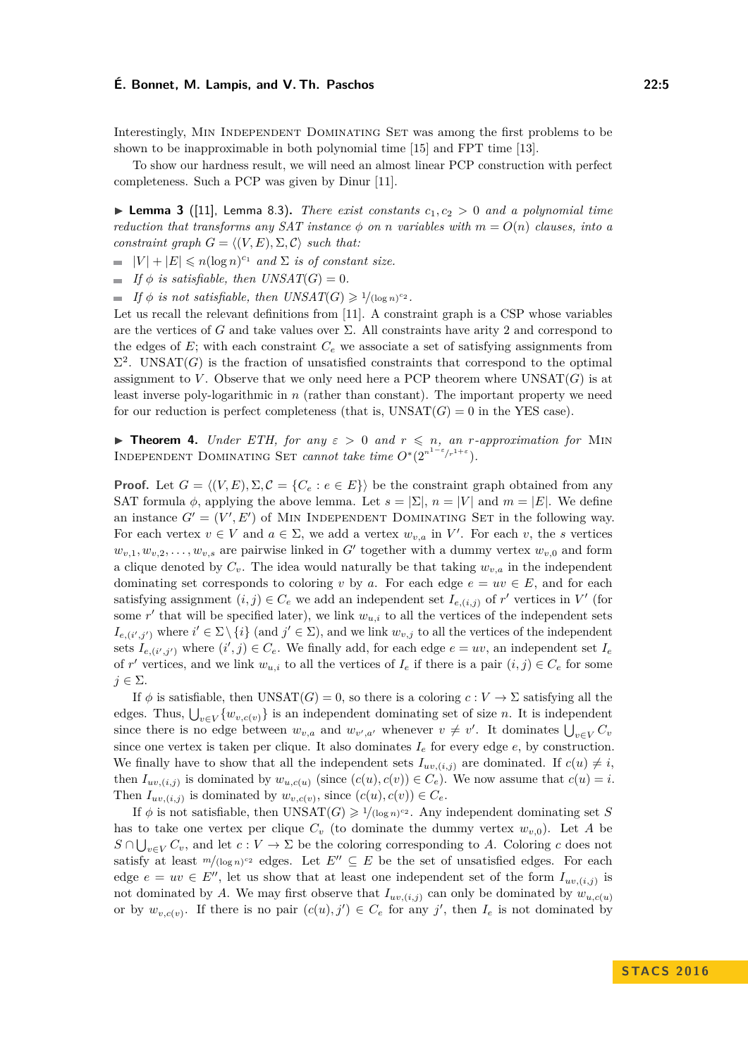Interestingly, Min Independent Dominating Set was among the first problems to be shown to be inapproximable in both polynomial time [\[15\]](#page-12-7) and FPT time [\[13\]](#page-12-8).

To show our hardness result, we will need an almost linear PCP construction with perfect completeness. Such a PCP was given by Dinur [\[11\]](#page-12-9).

**Example 3** ([\[11\]](#page-12-9), Lemma 8.3). *There exist constants*  $c_1, c_2 > 0$  *and a polynomial time reduction that transforms any SAT instance*  $\phi$  *on n variables with*  $m = O(n)$  *clauses, into a constraint graph*  $G = \langle (V, E), \Sigma, \mathcal{C} \rangle$  *such that:* 

 $|V| + |E| \le n(\log n)^{c_1}$  *and*  $\Sigma$  *is of constant size.* 

 $\blacksquare$  *If*  $\phi$  *is satisfiable, then UNSAT*(*G*) = 0*.* 

*If*  $\phi$  *is not satisfiable, then UNSAT*(*G*)  $\geq$  <sup>1</sup>/(log *n*)<sup>*c*2</sup>.

Let us recall the relevant definitions from [\[11\]](#page-12-9). A constraint graph is a CSP whose variables are the vertices of *G* and take values over Σ. All constraints have arity 2 and correspond to the edges of  $E$ ; with each constraint  $C_e$  we associate a set of satisfying assignments from  $\Sigma^2$ . UNSAT(*G*) is the fraction of unsatisfied constraints that correspond to the optimal assignment to *V*. Observe that we only need here a PCP theorem where  $UNSAT(G)$  is at least inverse poly-logarithmic in *n* (rather than constant). The important property we need for our reduction is perfect completeness (that is,  $UNSAT(G) = 0$  in the YES case).

**Findment 4.** *Under ETH, for any*  $\varepsilon > 0$  *and*  $r \leq n$ *, an r-approximation for* MIN INDEPENDENT DOMINATING SET *cannot take time*  $O^*(2^{n^{1-\epsilon}/r^{1+\epsilon}})$ *.* 

**Proof.** Let  $G = \langle (V, E), \Sigma, \mathcal{C} = \{C_e : e \in E\} \rangle$  be the constraint graph obtained from any SAT formula  $\phi$ , applying the above lemma. Let  $s = |\Sigma|$ ,  $n = |V|$  and  $m = |E|$ . We define an instance  $G' = (V', E')$  of MIN INDEPENDENT DOMINATING SET in the following way. For each vertex  $v \in V$  and  $a \in \Sigma$ , we add a vertex  $w_{v,a}$  in  $V'$ . For each v, the *s* vertices  $w_{v,1}, w_{v,2}, \ldots, w_{v,s}$  are pairwise linked in *G*<sup> $\prime$ </sup> together with a dummy vertex  $w_{v,0}$  and form a clique denoted by  $C_v$ . The idea would naturally be that taking  $w_{v,a}$  in the independent dominating set corresponds to coloring *v* by *a*. For each edge  $e = uv \in E$ , and for each satisfying assignment  $(i, j) \in C_e$  we add an independent set  $I_{e,(i,j)}$  of  $r'$  vertices in  $V'$  (for some  $r'$  that will be specified later), we link  $w_{u,i}$  to all the vertices of the independent sets  $I_{e,(i',j')}$  where  $i' \in \Sigma \setminus \{i\}$  (and  $j' \in \Sigma$ ), and we link  $w_{v,j}$  to all the vertices of the independent sets  $I_{e,(i',j')}$  where  $(i',j) \in C_e$ . We finally add, for each edge  $e = uv$ , an independent set  $I_e$ of r' vertices, and we link  $w_{u,i}$  to all the vertices of  $I_e$  if there is a pair  $(i,j) \in C_e$  for some  $j \in \Sigma$ .

If  $\phi$  is satisfiable, then UNSAT(*G*) = 0, so there is a coloring  $c: V \to \Sigma$  satisfying all the edges. Thus,  $\bigcup_{v \in V} \{w_{v,c(v)}\}$  is an independent dominating set of size *n*. It is independent since there is no edge between  $w_{v,a}$  and  $w_{v',a'}$  whenever  $v \neq v'$ . It dominates  $\bigcup_{v \in V} C_v$ since one vertex is taken per clique. It also dominates  $I<sub>e</sub>$  for every edge  $e$ , by construction. We finally have to show that all the independent sets  $I_{uv,(i,j)}$  are dominated. If  $c(u) \neq i$ , then  $I_{uv,(i,j)}$  is dominated by  $w_{u,c(u)}$  (since  $(c(u), c(v)) \in C_e$ ). We now assume that  $c(u) = i$ . Then  $I_{uv,(i,j)}$  is dominated by  $w_{v,c(v)}$ , since  $(c(u), c(v)) \in C_e$ .

If  $\phi$  is not satisfiable, then UNSAT $(G) \geq 1/(log n)^{c_2}$ . Any independent dominating set *S* has to take one vertex per clique  $C_v$  (to dominate the dummy vertex  $w_{v,0}$ ). Let A be  $S \cap \bigcup_{v \in V} C_v$ , and let  $c: V \to \Sigma$  be the coloring corresponding to *A*. Coloring *c* does not satisfy at least  $m/(\log n)^{c_2}$  edges. Let  $E'' \subseteq E$  be the set of unsatisfied edges. For each edge  $e = uv \in E''$ , let us show that at least one independent set of the form  $I_{uv,(i,j)}$  is not dominated by *A*. We may first observe that  $I_{uv,(i,j)}$  can only be dominated by  $w_{u,c(u)}$ or by  $w_{v,c(v)}$ . If there is no pair  $(c(u), j') \in C_e$  for any j', then  $I_e$  is not dominated by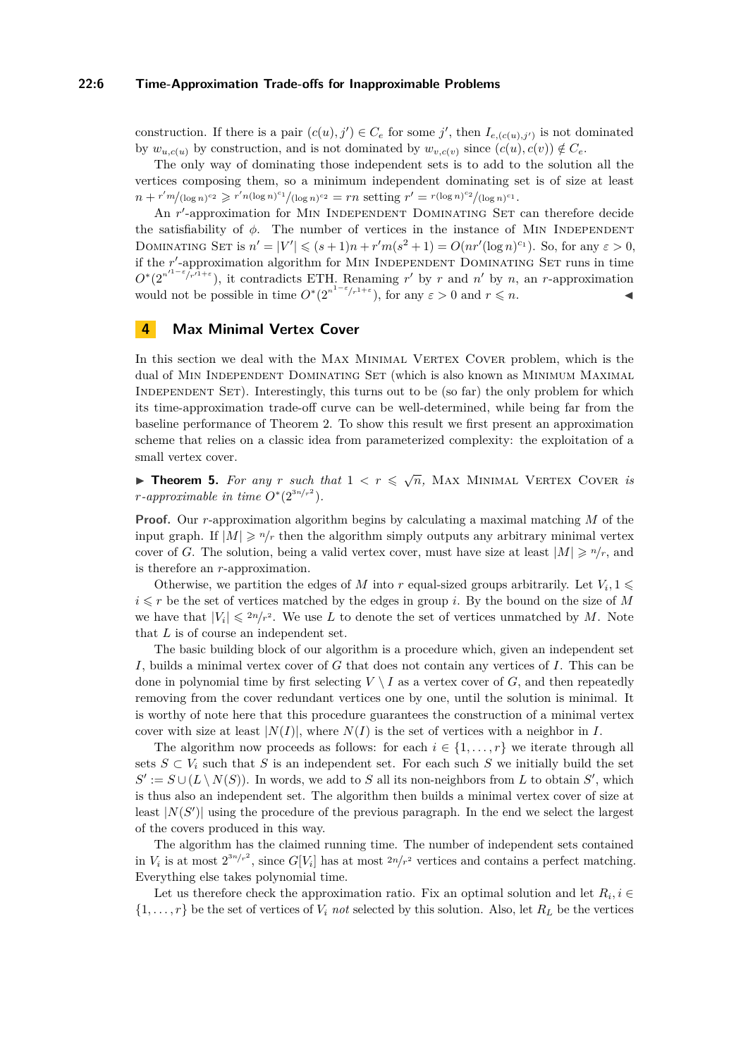#### **22:6 Time-Approximation Trade-offs for Inapproximable Problems**

construction. If there is a pair  $(c(u), j') \in C_e$  for some *j'*, then  $I_{e,(c(u), j')}$  is not dominated by  $w_{u,c(u)}$  by construction, and is not dominated by  $w_{v,c(v)}$  since  $(c(u), c(v)) \notin C_e$ .

The only way of dominating those independent sets is to add to the solution all the vertices composing them, so a minimum independent dominating set is of size at least  $n + r'm/(\log n)^{c_2} \geq r'n(\log n)^{c_1}/(\log n)^{c_2} = rn$  setting  $r' = r(\log n)^{c_2}/(\log n)^{c_1}$ .

An r'-approximation for MIN INDEPENDENT DOMINATING SET can therefore decide the satisfiability of  $\phi$ . The number of vertices in the instance of MIN INDEPENDENT DOMINATING SET is  $n' = |V'| \leq (s+1)n + r'm(s^2+1) = O(nr'(\log n)^{c_1})$ . So, for any  $\varepsilon > 0$ , if the r'-approximation algorithm for MIN INDEPENDENT DOMINATING SET runs in time  $O^*(2^{n^{1-\epsilon}/r^{1+\epsilon}})$ , it contradicts ETH. Renaming *r*' by *r* and *n*' by *n*, an *r*-approximation would not be possible in time  $O^*(2^{n^{1-\epsilon}/r^{1+\epsilon}})$ , for any  $\varepsilon > 0$  and  $r \leq n$ .

## **4 Max Minimal Vertex Cover**

In this section we deal with the MAX MINIMAL VERTEX COVER problem, which is the dual of MIN INDEPENDENT DOMINATING SET (which is also known as MINIMUM MAXIMAL INDEPENDENT SET). Interestingly, this turns out to be (so far) the only problem for which its time-approximation trade-off curve can be well-determined, while being far from the baseline performance of Theorem [2.](#page-3-0) To show this result we first present an approximation scheme that relies on a classic idea from parameterized complexity: the exploitation of a small vertex cover.

**Fineorem 5.** For any r such that  $1 < r \leq \sqrt{n}$ , MAX MINIMAL VERTEX COVER *is*  $r$ *-approximable in time*  $O^*(2^{3n/r^2})$ *.* 

**Proof.** Our *r*-approximation algorithm begins by calculating a maximal matching *M* of the input graph. If  $|M| \geq n/r$  then the algorithm simply outputs any arbitrary minimal vertex cover of *G*. The solution, being a valid vertex cover, must have size at least  $|M| \ge n/r$ , and is therefore an *r*-approximation.

Otherwise, we partition the edges of *M* into *r* equal-sized groups arbitrarily. Let  $V_i$ , 1  $i \leq r$  be the set of vertices matched by the edges in group *i*. By the bound on the size of *M* we have that  $|V_i| \leq 2n/r^2$ . We use *L* to denote the set of vertices unmatched by *M*. Note that *L* is of course an independent set.

The basic building block of our algorithm is a procedure which, given an independent set *I*, builds a minimal vertex cover of *G* that does not contain any vertices of *I*. This can be done in polynomial time by first selecting  $V \setminus I$  as a vertex cover of *G*, and then repeatedly removing from the cover redundant vertices one by one, until the solution is minimal. It is worthy of note here that this procedure guarantees the construction of a minimal vertex cover with size at least  $|N(I)|$ , where  $N(I)$  is the set of vertices with a neighbor in *I*.

The algorithm now proceeds as follows: for each  $i \in \{1, ..., r\}$  we iterate through all sets  $S \subset V_i$  such that *S* is an independent set. For each such *S* we initially build the set  $S' := S \cup (L \setminus N(S))$ . In words, we add to *S* all its non-neighbors from *L* to obtain *S*<sup>'</sup>, which is thus also an independent set. The algorithm then builds a minimal vertex cover of size at least  $|N(S')|$  using the procedure of the previous paragraph. In the end we select the largest of the covers produced in this way.

The algorithm has the claimed running time. The number of independent sets contained in  $V_i$  is at most  $2^{3n/r^2}$ , since  $G[V_i]$  has at most  $2n/r^2$  vertices and contains a perfect matching. Everything else takes polynomial time.

Let us therefore check the approximation ratio. Fix an optimal solution and let  $R_i$ ,  $i \in$  $\{1, \ldots, r\}$  be the set of vertices of  $V_i$  not selected by this solution. Also, let  $R_L$  be the vertices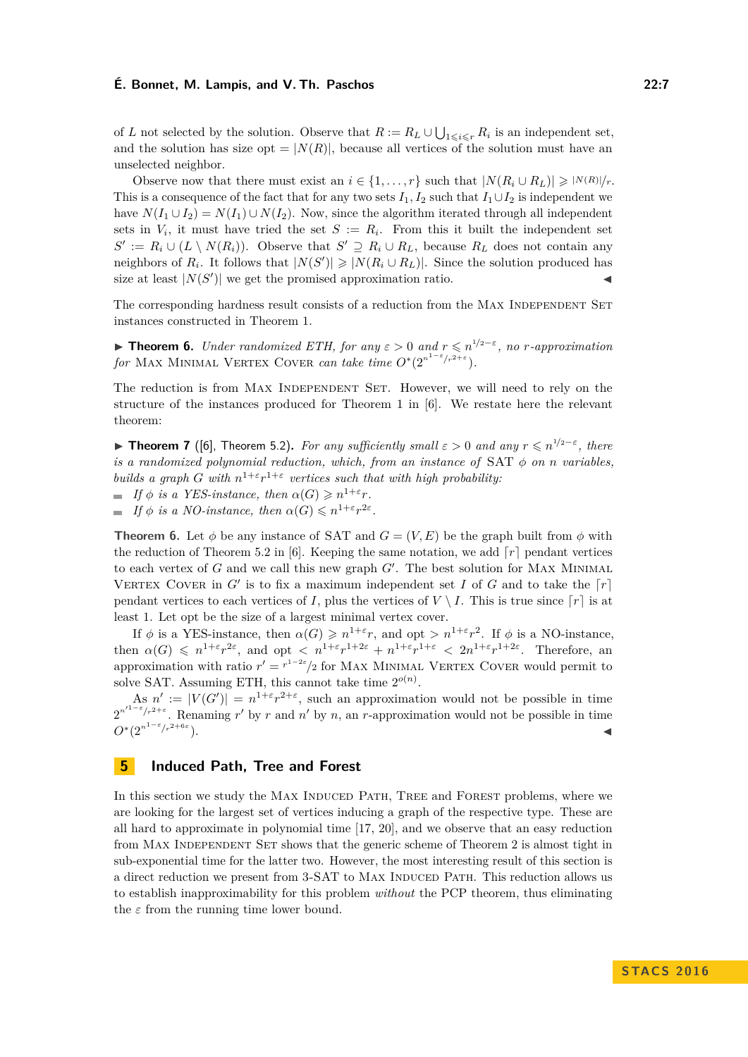of *L* not selected by the solution. Observe that  $R := R_L \cup \bigcup_{1 \leqslant i \leqslant r} R_i$  is an independent set, and the solution has size opt =  $|N(R)|$ , because all vertices of the solution must have an unselected neighbor.

Observe now that there must exist an  $i \in \{1, ..., r\}$  such that  $|N(R_i \cup R_L)| \geq |N(R)|/r$ . This is a consequence of the fact that for any two sets  $I_1, I_2$  such that  $I_1 \cup I_2$  is independent we have  $N(I_1 \cup I_2) = N(I_1) \cup N(I_2)$ . Now, since the algorithm iterated through all independent sets in  $V_i$ , it must have tried the set  $S := R_i$ . From this it built the independent set  $S' := R_i \cup (L \setminus N(R_i))$ . Observe that  $S' \supseteq R_i \cup R_L$ , because  $R_L$  does not contain any neighbors of  $R_i$ . It follows that  $|N(S')|\geq |N(R_i\cup R_L)|$ . Since the solution produced has size at least  $|N(S')|$  we get the promised approximation ratio.

The corresponding hardness result consists of a reduction from the MAX INDEPENDENT SET instances constructed in Theorem [1.](#page-2-0)

<span id="page-6-0"></span>**► Theorem 6.** *Under randomized ETH, for any*  $\varepsilon > 0$  *and*  $r \leq n^{1/2-\varepsilon}$ , *no r-approximation for* MAX MINIMAL VERTEX COVER *can take time*  $O^*(2^{n^{1-\varepsilon}/r^{2+\varepsilon}})$ *.* 

The reduction is from MAX INDEPENDENT SET. However, we will need to rely on the structure of the instances produced for Theorem [1](#page-2-0) in [\[6\]](#page-11-5). We restate here the relevant theorem:

**► Theorem 7** ([\[6\]](#page-11-5), Theorem 5.2). For any sufficiently small  $\varepsilon > 0$  and any  $r \leq n^{1/2-\varepsilon}$ , there *is a randomized polynomial reduction, which, from an instance of* SAT *φ on n variables, builds a graph G* with  $n^{1+\epsilon}r^{1+\epsilon}$  vertices such that with high probability:

*If*  $\phi$  *is a YES-instance, then*  $\alpha(G) \geq n^{1+\epsilon}r$ .

*If*  $\phi$  *is a NO-instance, then*  $\alpha(G) \leq n^{1+\epsilon} r^{2\epsilon}$ .

**Theorem [6.](#page-6-0)** Let  $\phi$  be any instance of SAT and  $G = (V, E)$  be the graph built from  $\phi$  with the reduction of Theorem 5.2 in [\[6\]](#page-11-5). Keeping the same notation, we add  $\lceil r \rceil$  pendant vertices to each vertex of  $G$  and we call this new graph  $G'$ . The best solution for MAX MINIMAL VERTEX COVER in  $G'$  is to fix a maximum independent set  $I$  of  $G$  and to take the  $\lceil r \rceil$ pendant vertices to each vertices of *I*, plus the vertices of  $V \setminus I$ . This is true since  $\lceil r \rceil$  is at least 1. Let opt be the size of a largest minimal vertex cover.

If  $\phi$  is a YES-instance, then  $\alpha(G) \geq n^{1+\epsilon}r$ , and opt  $> n^{1+\epsilon}r^2$ . If  $\phi$  is a NO-instance, then  $\alpha(G) \leq n^{1+\varepsilon}r^{2\varepsilon}$ , and opt  $\langle n^{1+\varepsilon}r^{1+2\varepsilon}+n^{1+\varepsilon}r^{1+\varepsilon}\rangle \langle 2n^{1+\varepsilon}r^{1+2\varepsilon}$ . Therefore, an approximation with ratio  $r' = r^{1-2\varepsilon}/2$  for MAX MINIMAL VERTEX COVER would permit to solve SAT. Assuming ETH, this cannot take time  $2^{o(n)}$ .

As  $n' := |V(G')| = n^{1+\epsilon}r^{2+\epsilon}$ , such an approximation would not be possible in time  $2^{n^{1-\epsilon}/r^{2+\epsilon}}$ . Renaming *r'* by *r* and *n'* by *n*, an *r*-approximation would not be possible in time  $O<sup>*</sup>(2<sup>*n*1−ε</sup>/*r*²+6*ε*$  $\blacksquare$ ).

# **5 Induced Path, Tree and Forest**

In this section we study the MAX INDUCED PATH, TREE and FOREST problems, where we are looking for the largest set of vertices inducing a graph of the respective type. These are all hard to approximate in polynomial time [\[17,](#page-12-10) [20\]](#page-12-11), and we observe that an easy reduction from MAX INDEPENDENT SET shows that the generic scheme of Theorem [2](#page-3-0) is almost tight in sub-exponential time for the latter two. However, the most interesting result of this section is a direct reduction we present from 3-SAT to MAX INDUCED PATH. This reduction allows us to establish inapproximability for this problem *without* the PCP theorem, thus eliminating the  $\varepsilon$  from the running time lower bound.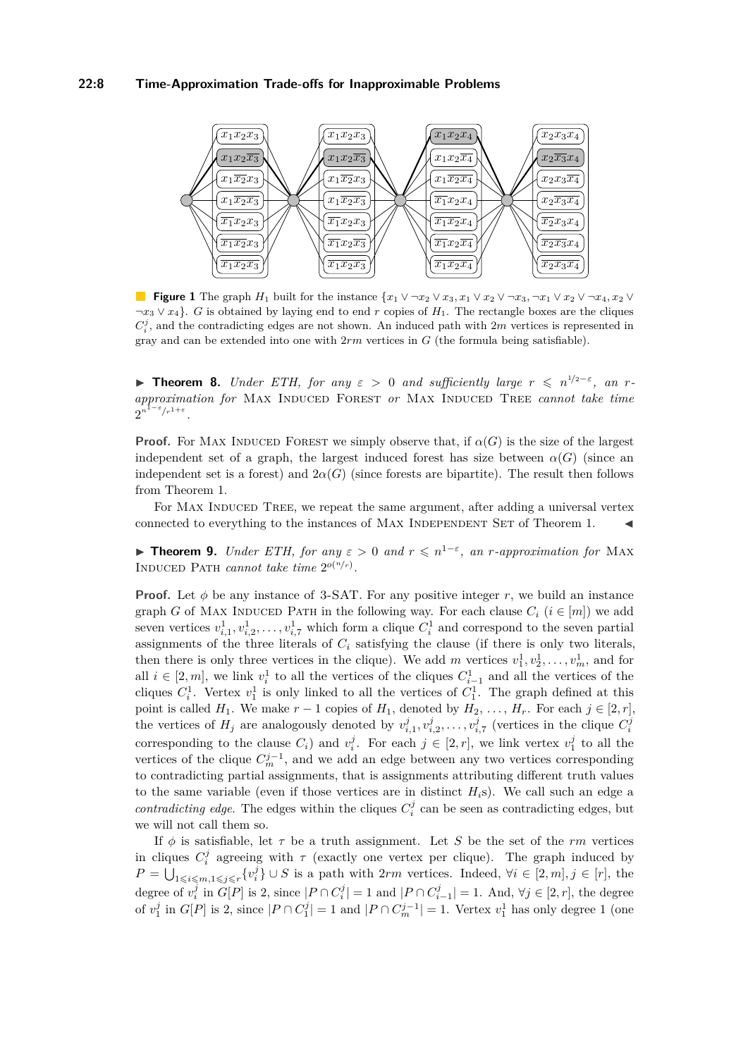## **22:8 Time-Approximation Trade-offs for Inapproximable Problems**



**Figure 1** The graph *H*<sub>1</sub> built for the instance  $\{x_1 \vee \neg x_2 \vee x_3, x_1 \vee x_2 \vee \neg x_3, \neg x_1 \vee x_2 \vee \neg x_4, x_2 \vee \neg x_4\}$ ¬*x*<sup>3</sup> ∨ *x*4}. *G* is obtained by laying end to end *r* copies of *H*1. The rectangle boxes are the cliques  $C_i^j$ , and the contradicting edges are not shown. An induced path with  $2m$  vertices is represented in gray and can be extended into one with 2*rm* vertices in *G* (the formula being satisfiable).

**► Theorem 8.** *Under ETH, for any*  $\epsilon$  > 0 *and sufficiently large*  $r \leq n^{1/2-\epsilon}$ , *an*  $r$ *approximation for* Max Induced Forest *or* Max Induced Tree *cannot take time*  $2^{n^{1-\varepsilon}/r^{1+\varepsilon}}$ .

**Proof.** For MAX INDUCED FOREST we simply observe that, if  $\alpha(G)$  is the size of the largest independent set of a graph, the largest induced forest has size between  $\alpha(G)$  (since an independent set is a forest) and  $2\alpha(G)$  (since forests are bipartite). The result then follows from Theorem [1.](#page-2-0)

For MAX INDUCED TREE, we repeat the same argument, after adding a universal vertex connected to everything to the instances of MAX INDEPENDENT SET of Theorem [1.](#page-2-0)

**► Theorem 9.** *Under ETH, for any*  $\varepsilon > 0$  *and*  $r \le n^{1-\varepsilon}$ , *an r-approximation for* MAX INDUCED PATH *cannot take time*  $2^{o(n/r)}$ .

**Proof.** Let  $\phi$  be any instance of 3-SAT. For any positive integer r, we build an instance graph *G* of MAX INDUCED PATH in the following way. For each clause  $C_i$  ( $i \in [m]$ ) we add seven vertices  $v_{i,1}^1, v_{i,2}^1, \ldots, v_{i,7}^1$  which form a clique  $C_i^1$  and correspond to the seven partial assignments of the three literals of  $C_i$  satisfying the clause (if there is only two literals, then there is only three vertices in the clique). We add *m* vertices  $v_1^1, v_2^1, \ldots, v_m^1$ , and for all  $i \in [2, m]$ , we link  $v_i^1$  to all the vertices of the cliques  $C_{i-1}^1$  and all the vertices of the cliques  $C_i^1$ . Vertex  $v_1^1$  is only linked to all the vertices of  $C_1^1$ . The graph defined at this point is called *H*<sub>1</sub>. We make  $r - 1$  copies of *H*<sub>1</sub>, denoted by *H*<sub>2</sub>, ..., *H<sub>r</sub>*. For each  $j \in [2, r]$ , the vertices of  $H_j$  are analogously denoted by  $v_{i,1}^j, v_{i,2}^j, \ldots, v_{i,7}^j$  (vertices in the clique  $C_i^j$ corresponding to the clause  $C_i$ ) and  $v_i^j$ . For each  $j \in [2, r]$ , we link vertex  $v_1^j$  to all the vertices of the clique  $C_m^{j-1}$ , and we add an edge between any two vertices corresponding to contradicting partial assignments, that is assignments attributing different truth values to the same variable (even if those vertices are in distinct  $H_i$ s). We call such an edge a *contradicting edge*. The edges within the cliques  $C_i^j$  can be seen as contradicting edges, but we will not call them so.

If  $\phi$  is satisfiable, let  $\tau$  be a truth assignment. Let *S* be the set of the *rm* vertices in cliques  $C_i^j$  agreeing with  $\tau$  (exactly one vertex per clique). The graph induced by *P* =  $\bigcup_{1 \leq i \leq m, 1 \leq j \leq r} \{v_i^j\}$  ∪ *S* is a path with 2*rm* vertices. Indeed,  $\forall i \in [2, m], j \in [r]$ , the degree of  $v_i^j$  in  $G[P]$  is 2, since  $|P \cap C_i^j| = 1$  and  $|P \cap C_{i-1}^j| = 1$ . And,  $\forall j \in [2, r]$ , the degree of  $v_1^j$  in  $G[P]$  is 2, since  $|P \cap C_1^j| = 1$  and  $|P \cap C_m^{j-1}| = 1$ . Vertex  $v_1^1$  has only degree 1 (one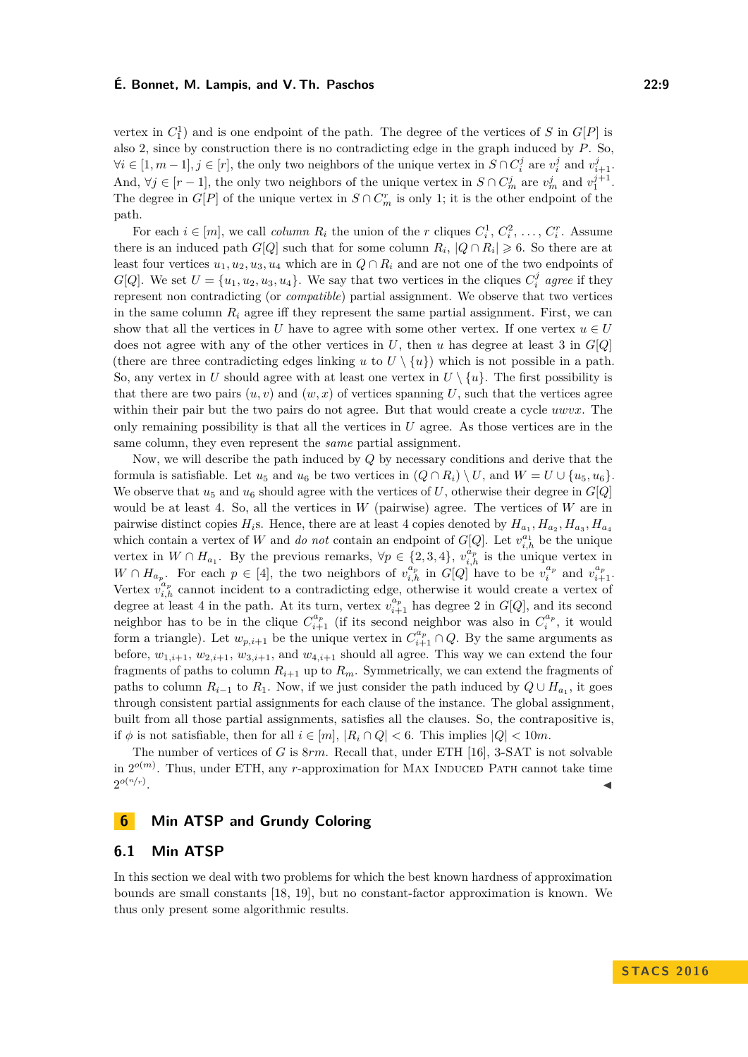vertex in  $C_1^1$  and is one endpoint of the path. The degree of the vertices of *S* in  $G[P]$  is also 2, since by construction there is no contradicting edge in the graph induced by *P*. So,  $\forall i \in [1, m-1], j \in [r]$ , the only two neighbors of the unique vertex in  $S \cap C_i^j$  are  $v_i^j$  and  $v_{i+1}^j$ . And,  $\forall j \in [r-1]$ , the only two neighbors of the unique vertex in  $S \cap C_m^j$  are  $v_m^j$  and  $v_1^{j+1}$ . The degree in  $G[P]$  of the unique vertex in  $S \cap C_m^r$  is only 1; it is the other endpoint of the path.

For each  $i \in [m]$ , we call *column*  $R_i$  the union of the *r* cliques  $C_i^1, C_i^2, \ldots, C_i^r$ . Assume there is an induced path  $G[Q]$  such that for some column  $R_i$ ,  $|Q \cap R_i| \geq 6$ . So there are at least four vertices  $u_1, u_2, u_3, u_4$  which are in  $Q \cap R_i$  and are not one of the two endpoints of *G*[*Q*]. We set  $U = \{u_1, u_2, u_3, u_4\}$ . We say that two vertices in the cliques  $C_i^j$  agree if they represent non contradicting (or *compatible*) partial assignment. We observe that two vertices in the same column  $R_i$  agree iff they represent the same partial assignment. First, we can show that all the vertices in *U* have to agree with some other vertex. If one vertex  $u \in U$ does not agree with any of the other vertices in *U*, then *u* has degree at least 3 in *G*[*Q*] (there are three contradicting edges linking *u* to  $U \setminus \{u\}$ ) which is not possible in a path. So, any vertex in *U* should agree with at least one vertex in  $U \setminus \{u\}$ . The first possibility is that there are two pairs  $(u, v)$  and  $(w, x)$  of vertices spanning U, such that the vertices agree within their pair but the two pairs do not agree. But that would create a cycle *uwvx*. The only remaining possibility is that all the vertices in *U* agree. As those vertices are in the same column, they even represent the *same* partial assignment.

Now, we will describe the path induced by *Q* by necessary conditions and derive that the formula is satisfiable. Let  $u_5$  and  $u_6$  be two vertices in  $(Q \cap R_i) \setminus U$ , and  $W = U \cup \{u_5, u_6\}$ . We observe that  $u_5$  and  $u_6$  should agree with the vertices of U, otherwise their degree in  $G[Q]$ would be at least 4. So, all the vertices in *W* (pairwise) agree. The vertices of *W* are in pairwise distinct copies  $H_i$ s. Hence, there are at least 4 copies denoted by  $H_{a_1}, H_{a_2}, H_{a_3}, H_{a_4}$ which contain a vertex of *W* and *do not* contain an endpoint of  $G[Q]$ . Let  $v_{i,h}^{a_1}$  be the unique vertex in  $W \cap H_{a_1}$ . By the previous remarks,  $\forall p \in \{2,3,4\}$ ,  $v_{i,h}^{\hat{a}_p}$  is the unique vertex in  $W \cap H_{a_p}$ . For each  $p \in [4]$ , the two neighbors of  $v_{i,h}^{a_p}$  in  $G[Q]$  have to be  $v_i^{a_p}$  and  $v_{i+1}^{a_p}$ . Vertex  $v_i^u$  $a_p$  cannot incident to a contradicting edge, otherwise it would create a vertex of degree at least 4 in the path. At its turn, vertex  $v_{i+1}^{a_p}$  has degree 2 in  $G[Q]$ , and its second neighbor has to be in the clique  $C_{i+1}^{a_p}$  (if its second neighbor was also in  $C_i^{a_p}$ , it would form a triangle). Let  $w_{p,i+1}$  be the unique vertex in  $C_{i+1}^{a_p} \cap Q$ . By the same arguments as before,  $w_{1,i+1}, w_{2,i+1}, w_{3,i+1}$ , and  $w_{4,i+1}$  should all agree. This way we can extend the four fragments of paths to column  $R_{i+1}$  up to  $R_m$ . Symmetrically, we can extend the fragments of paths to column  $R_{i-1}$  to  $R_1$ . Now, if we just consider the path induced by  $Q \cup H_{a_1}$ , it goes through consistent partial assignments for each clause of the instance. The global assignment, built from all those partial assignments, satisfies all the clauses. So, the contrapositive is, if  $\phi$  is not satisfiable, then for all  $i \in [m]$ ,  $|R_i \cap Q| < 6$ . This implies  $|Q| < 10m$ .

The number of vertices of *G* is 8*rm*. Recall that, under ETH [\[16\]](#page-12-6), 3-SAT is not solvable in  $2^{o(m)}$ . Thus, under ETH, any *r*-approximation for MAX INDUCED PATH cannot take time  $2^{o(n/r)}$ . January 1980, and the control of the control of the control of the control of the control of the control of

# **6 Min ATSP and Grundy Coloring**

#### **6.1 Min ATSP**

In this section we deal with two problems for which the best known hardness of approximation bounds are small constants [\[18,](#page-12-12) [19\]](#page-12-13), but no constant-factor approximation is known. We thus only present some algorithmic results.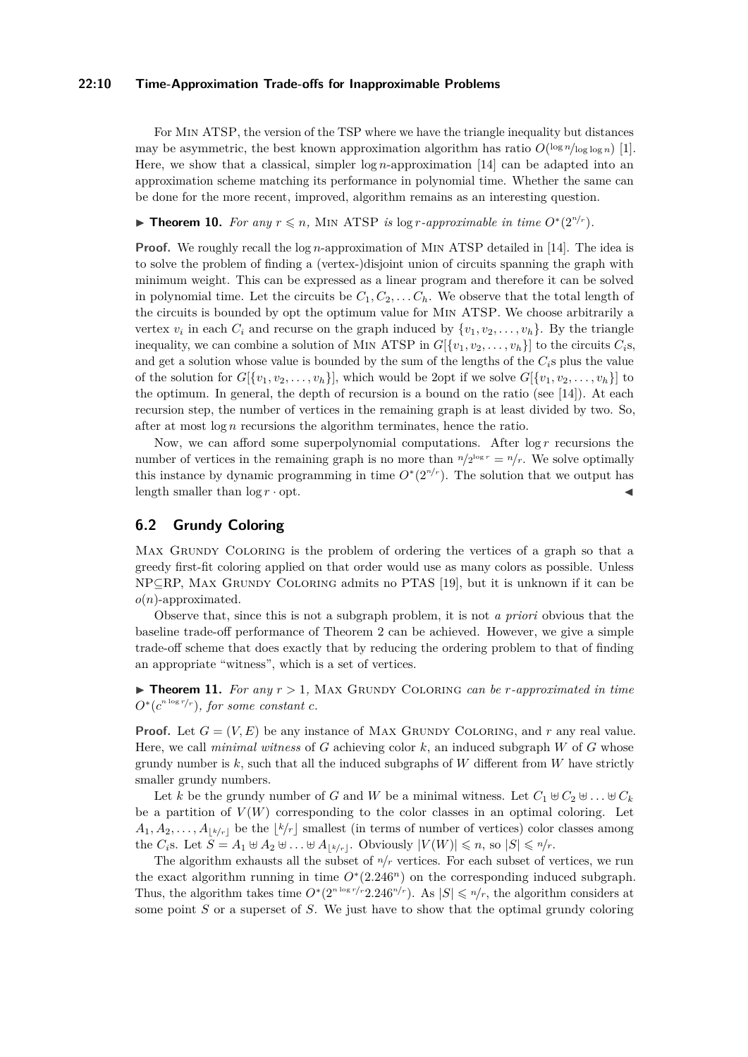#### **22:10 Time-Approximation Trade-offs for Inapproximable Problems**

For Min ATSP, the version of the TSP where we have the triangle inequality but distances may be asymmetric, the best known approximation algorithm has ratio  $O(\log n / \log \log n)$  [\[1\]](#page-11-6). Here, we show that a classical, simpler log *n*-approximation [\[14\]](#page-12-14) can be adapted into an approximation scheme matching its performance in polynomial time. Whether the same can be done for the more recent, improved, algorithm remains as an interesting question.

▶ **Theorem 10.** *For any*  $r \le n$ , MIN ATSP *is* log *r*-*approximable in time*  $O<sup>*</sup>(2<sup>n/r</sup>)$ *.* 

**Proof.** We roughly recall the log *n*-approximation of MIN ATSP detailed in [\[14\]](#page-12-14). The idea is to solve the problem of finding a (vertex-)disjoint union of circuits spanning the graph with minimum weight. This can be expressed as a linear program and therefore it can be solved in polynomial time. Let the circuits be  $C_1, C_2, \ldots, C_h$ . We observe that the total length of the circuits is bounded by opt the optimum value for Min ATSP. We choose arbitrarily a vertex  $v_i$  in each  $C_i$  and recurse on the graph induced by  $\{v_1, v_2, \ldots, v_h\}$ . By the triangle inequality, we can combine a solution of MIN ATSP in  $G[{v_1, v_2, \ldots, v_h}]$  to the circuits  $C_i$ s, and get a solution whose value is bounded by the sum of the lengths of the  $C_i$ <sup>s</sup> plus the value of the solution for  $G[\{v_1, v_2, \ldots, v_h\}]$ , which would be 2opt if we solve  $G[\{v_1, v_2, \ldots, v_h\}]$  to the optimum. In general, the depth of recursion is a bound on the ratio (see [\[14\]](#page-12-14)). At each recursion step, the number of vertices in the remaining graph is at least divided by two. So, after at most log *n* recursions the algorithm terminates, hence the ratio.

Now, we can afford some superpolynomial computations. After log *r* recursions the number of vertices in the remaining graph is no more than  $n/2^{\log r} = n/r$ . We solve optimally this instance by dynamic programming in time  $O^*(2^{n/r})$ . The solution that we output has length smaller than  $\log r \cdot \mathrm{opt}$ .

# **6.2 Grundy Coloring**

MAX GRUNDY COLORING is the problem of ordering the vertices of a graph so that a greedy first-fit coloring applied on that order would use as many colors as possible. Unless NP⊆RP, MAX GRUNDY COLORING admits no PTAS [\[19\]](#page-12-13), but it is unknown if it can be *o*(*n*)-approximated.

Observe that, since this is not a subgraph problem, it is not *a priori* obvious that the baseline trade-off performance of Theorem [2](#page-3-0) can be achieved. However, we give a simple trade-off scheme that does exactly that by reducing the ordering problem to that of finding an appropriate "witness", which is a set of vertices.

 $\triangleright$  **Theorem 11.** For any  $r > 1$ , MAX GRUNDY COLORING *can be r*-approximated in time  $O^*(c^{n \log r/r})$ , for some constant *c*.

**Proof.** Let  $G = (V, E)$  be any instance of MAX GRUNDY COLORING, and r any real value. Here, we call *minimal witness* of *G* achieving color *k*, an induced subgraph *W* of *G* whose grundy number is  $k$ , such that all the induced subgraphs of  $W$  different from  $W$  have strictly smaller grundy numbers.

Let *k* be the grundy number of *G* and *W* be a minimal witness. Let  $C_1 \oplus C_2 \oplus \ldots \oplus C_k$ be a partition of  $V(W)$  corresponding to the color classes in an optimal coloring. Let  $A_1, A_2, \ldots, A_{\lfloor k/r \rfloor}$  be the  $\lfloor k/r \rfloor$  smallest (in terms of number of vertices) color classes among the *C*<sub>i</sub>s. Let  $S = A_1 \oplus A_2 \oplus \ldots \oplus A_{\lfloor k/r \rfloor}$ . Obviously  $|V(W)| \leq n$ , so  $|S| \leq n/r$ .

The algorithm exhausts all the subset of  $n/r$  vertices. For each subset of vertices, we run the exact algorithm running in time  $O<sup>*</sup>(2.246<sup>n</sup>)$  on the corresponding induced subgraph. Thus, the algorithm takes time  $O^*(2^{n \log r}/r^2 \cdot 246^{n/r})$ . As  $|S| \leq n/r$ , the algorithm considers at some point *S* or a superset of *S*. We just have to show that the optimal grundy coloring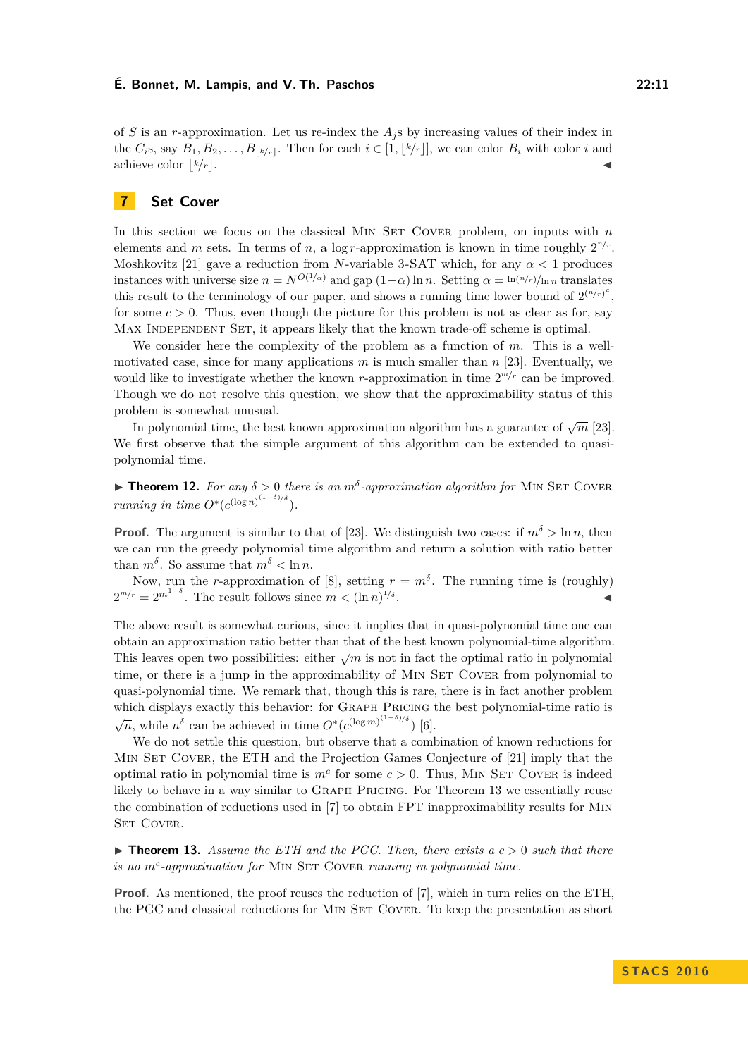of *S* is an *r*-approximation. Let us re-index the *A<sup>j</sup>* s by increasing values of their index in the  $C_i$ s, say  $B_1, B_2, \ldots, B_{\lfloor k/r \rfloor}$ . Then for each  $i \in [1, \lfloor k/r \rfloor]$ , we can color  $B_i$  with color  $i$  and achieve color  $\lfloor k/r \rfloor$ .

# **7 Set Cover**

In this section we focus on the classical MIN SET COVER problem, on inputs with  $n$ elements and *m* sets. In terms of *n*, a log *r*-approximation is known in time roughly  $2^{n/r}$ . Moshkovitz [\[21\]](#page-12-3) gave a reduction from *N*-variable 3-SAT which, for any *α <* 1 produces instances with universe size  $n = N^{O(1/\alpha)}$  and gap  $(1-\alpha) \ln n$ . Setting  $\alpha = \ln(n/r)/\ln n$  translates this result to the terminology of our paper, and shows a running time lower bound of  $2^{(n/r)^c}$ , for some  $c > 0$ . Thus, even though the picture for this problem is not as clear as for, say MAX INDEPENDENT SET, it appears likely that the known trade-off scheme is optimal.

We consider here the complexity of the problem as a function of *m*. This is a wellmotivated case, since for many applications  $m$  is much smaller than  $n$  [\[23\]](#page-12-5). Eventually, we would like to investigate whether the known *r*-approximation in time  $2^{m/r}$  can be improved. Though we do not resolve this question, we show that the approximability status of this problem is somewhat unusual.

In polynomial time, the best known approximation algorithm has a guarantee of  $\sqrt{m}$  [\[23\]](#page-12-5). We first observe that the simple argument of this algorithm can be extended to quasipolynomial time.

**Theorem 12.** For any  $\delta > 0$  there is an  $m^{\delta}$ -approximation algorithm for MIN SET COVER *running in time*  $O^*(c^{(\log n)^{(1-\delta)/\delta}})$ *.* 

**Proof.** The argument is similar to that of [\[23\]](#page-12-5). We distinguish two cases: if  $m^{\delta} > \ln n$ , then we can run the greedy polynomial time algorithm and return a solution with ratio better than  $m^{\delta}$ . So assume that  $m^{\delta} < \ln n$ .

Now, run the *r*-approximation of [\[8\]](#page-11-2), setting  $r = m^{\delta}$ . The running time is (roughly)  $2^{m/r} = 2^{m^{1-\delta}}$ . The result follows since  $m < (\ln n)^{1/\delta}$ . John Stein Stein Stein Stein Stein Stein Stein Stein Stein Stein Stein Stein Stein Stein Stein Stein Stein S<br>Die Stein Stein Stein Stein Stein Stein Stein Stein Stein Stein Stein Stein Stein Stein Stein Stein Stein Stei

The above result is somewhat curious, since it implies that in quasi-polynomial time one can obtain an approximation ratio better than that of the best known polynomial-time algorithm. This leaves open two possibilities: either  $\sqrt{m}$  is not in fact the optimal ratio in polynomial time, or there is a jump in the approximability of MIN SET COVER from polynomial to quasi-polynomial time. We remark that, though this is rare, there is in fact another problem which displays exactly this behavior: for Graph Pricing the best polynomial-time ratio is  $\sqrt{n}$ , while  $n^{\delta}$  can be achieved in time  $O*(c^{(\log m)^{(1-\delta)/\delta}})$  [\[6\]](#page-11-5).

We do not settle this question, but observe that a combination of known reductions for MIN SET COVER, the ETH and the Projection Games Conjecture of [\[21\]](#page-12-3) imply that the optimal ratio in polynomial time is  $m<sup>c</sup>$  for some  $c > 0$ . Thus, MIN SET COVER is indeed likely to behave in a way similar to GRAPH PRICING. For Theorem [13](#page-10-0) we essentially reuse the combination of reductions used in [\[7\]](#page-11-7) to obtain FPT inapproximability results for Min SET COVER.

<span id="page-10-0"></span> $\triangleright$  **Theorem 13.** Assume the ETH and the PGC. Then, there exists a  $c > 0$  such that there *is no*  $m^c$ -approximation for MIN SET COVER running in polynomial time.

**Proof.** As mentioned, the proof reuses the reduction of [\[7\]](#page-11-7), which in turn relies on the ETH, the PGC and classical reductions for MIN SET COVER. To keep the presentation as short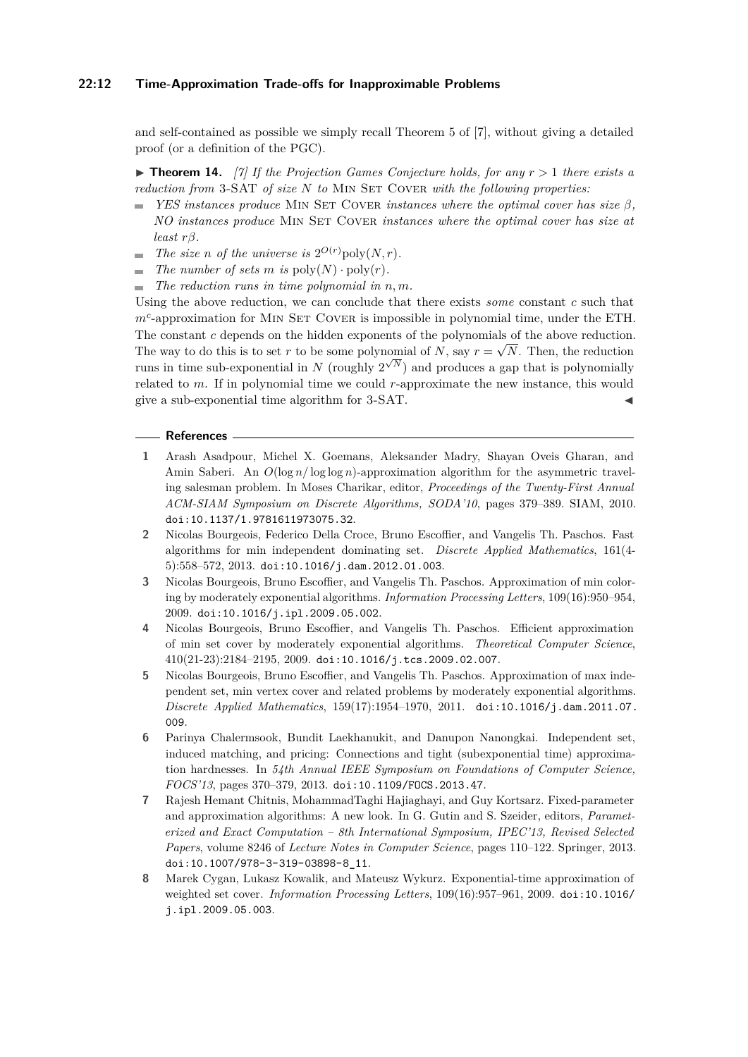## **22:12 Time-Approximation Trade-offs for Inapproximable Problems**

and self-contained as possible we simply recall Theorem 5 of [\[7\]](#page-11-7), without giving a detailed proof (or a definition of the PGC).

 $\triangleright$  **Theorem 14.** [\[7\]](#page-11-7) If the Projection Games Conjecture holds, for any  $r > 1$  there exists a *reduction from* 3-SAT *of size N to* Min Set Cover *with the following properties:*

- ÷. *YES instances produce* MIN SET COVER *instances where the optimal cover has size β, NO instances produce* Min Set Cover *instances where the optimal cover has size at least rβ.*
- *The size n of the universe is*  $2^{O(r)}$ *poly* $(N, r)$ *.* m.
- *The number of sets m is*  $\text{poly}(N) \cdot \text{poly}(r)$ *.*
- $\blacksquare$  *The reduction runs in time polynomial in n, m.*

Using the above reduction, we can conclude that there exists *some* constant *c* such that  $m<sup>c</sup>$ -approximation for MIN SET COVER is impossible in polynomial time, under the ETH. The constant *c* depends on the hidden exponents of the polynomials of the above reduction. The way to do this is to set *r* to be some polynomial of *N*, say  $r = \sqrt{N}$ . Then, the reduction runs in time sub-exponential in *N* (roughly  $2^{\sqrt{N}}$ ) and produces a gap that is polynomially related to *m*. If in polynomial time we could *r*-approximate the new instance, this would give a sub-exponential time algorithm for 3-SAT. J

#### **References**

- <span id="page-11-6"></span>**1** Arash Asadpour, Michel X. Goemans, Aleksander Madry, Shayan Oveis Gharan, and Amin Saberi. An *O*(log *n/* log log *n*)-approximation algorithm for the asymmetric traveling salesman problem. In Moses Charikar, editor, *Proceedings of the Twenty-First Annual ACM-SIAM Symposium on Discrete Algorithms, SODA'10*, pages 379–389. SIAM, 2010. [doi:10.1137/1.9781611973075.32](http://dx.doi.org/10.1137/1.9781611973075.32).
- <span id="page-11-4"></span>**2** Nicolas Bourgeois, Federico Della Croce, Bruno Escoffier, and Vangelis Th. Paschos. Fast algorithms for min independent dominating set. *Discrete Applied Mathematics*, 161(4- 5):558–572, 2013. [doi:10.1016/j.dam.2012.01.003](http://dx.doi.org/10.1016/j.dam.2012.01.003).
- <span id="page-11-1"></span>**3** Nicolas Bourgeois, Bruno Escoffier, and Vangelis Th. Paschos. Approximation of min coloring by moderately exponential algorithms. *Information Processing Letters*, 109(16):950–954, 2009. [doi:10.1016/j.ipl.2009.05.002](http://dx.doi.org/10.1016/j.ipl.2009.05.002).
- <span id="page-11-3"></span>**4** Nicolas Bourgeois, Bruno Escoffier, and Vangelis Th. Paschos. Efficient approximation of min set cover by moderately exponential algorithms. *Theoretical Computer Science*, 410(21-23):2184–2195, 2009. [doi:10.1016/j.tcs.2009.02.007](http://dx.doi.org/10.1016/j.tcs.2009.02.007).
- <span id="page-11-0"></span>**5** Nicolas Bourgeois, Bruno Escoffier, and Vangelis Th. Paschos. Approximation of max independent set, min vertex cover and related problems by moderately exponential algorithms. *Discrete Applied Mathematics*, 159(17):1954–1970, 2011. [doi:10.1016/j.dam.2011.07.](http://dx.doi.org/10.1016/j.dam.2011.07.009) [009](http://dx.doi.org/10.1016/j.dam.2011.07.009).
- <span id="page-11-5"></span>**6** Parinya Chalermsook, Bundit Laekhanukit, and Danupon Nanongkai. Independent set, induced matching, and pricing: Connections and tight (subexponential time) approximation hardnesses. In *54th Annual IEEE Symposium on Foundations of Computer Science, FOCS'13*, pages 370–379, 2013. [doi:10.1109/FOCS.2013.47](http://dx.doi.org/10.1109/FOCS.2013.47).
- <span id="page-11-7"></span>**7** Rajesh Hemant Chitnis, MohammadTaghi Hajiaghayi, and Guy Kortsarz. Fixed-parameter and approximation algorithms: A new look. In G. Gutin and S. Szeider, editors, *Parameterized and Exact Computation – 8th International Symposium, IPEC'13, Revised Selected Papers*, volume 8246 of *Lecture Notes in Computer Science*, pages 110–122. Springer, 2013. [doi:10.1007/978-3-319-03898-8\\_11](http://dx.doi.org/10.1007/978-3-319-03898-8_11).
- <span id="page-11-2"></span>**8** Marek Cygan, Lukasz Kowalik, and Mateusz Wykurz. Exponential-time approximation of weighted set cover. *Information Processing Letters*, 109(16):957–961, 2009. [doi:10.1016/](http://dx.doi.org/10.1016/j.ipl.2009.05.003) [j.ipl.2009.05.003](http://dx.doi.org/10.1016/j.ipl.2009.05.003).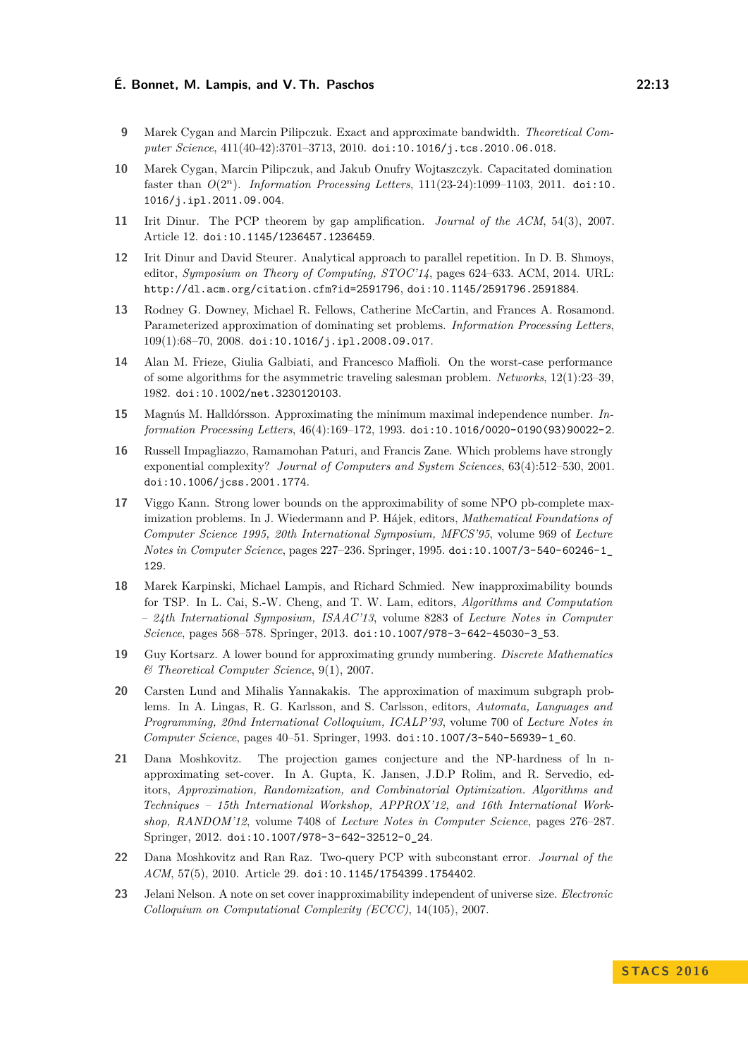- <span id="page-12-1"></span>**9** Marek Cygan and Marcin Pilipczuk. Exact and approximate bandwidth. *Theoretical Computer Science*, 411(40-42):3701–3713, 2010. [doi:10.1016/j.tcs.2010.06.018](http://dx.doi.org/10.1016/j.tcs.2010.06.018).
- <span id="page-12-2"></span>**10** Marek Cygan, Marcin Pilipczuk, and Jakub Onufry Wojtaszczyk. Capacitated domination faster than *O*(2*<sup>n</sup>*). *Information Processing Letters*, 111(23-24):1099–1103, 2011. [doi:10.](http://dx.doi.org/10.1016/j.ipl.2011.09.004) [1016/j.ipl.2011.09.004](http://dx.doi.org/10.1016/j.ipl.2011.09.004).
- <span id="page-12-9"></span>**11** Irit Dinur. The PCP theorem by gap amplification. *Journal of the ACM*, 54(3), 2007. Article 12. [doi:10.1145/1236457.1236459](http://dx.doi.org/10.1145/1236457.1236459).
- <span id="page-12-4"></span>**12** Irit Dinur and David Steurer. Analytical approach to parallel repetition. In D. B. Shmoys, editor, *Symposium on Theory of Computing, STOC'14*, pages 624–633. ACM, 2014. URL: <http://dl.acm.org/citation.cfm?id=2591796>, [doi:10.1145/2591796.2591884](http://dx.doi.org/10.1145/2591796.2591884).
- <span id="page-12-8"></span>**13** Rodney G. Downey, Michael R. Fellows, Catherine McCartin, and Frances A. Rosamond. Parameterized approximation of dominating set problems. *Information Processing Letters*, 109(1):68–70, 2008. [doi:10.1016/j.ipl.2008.09.017](http://dx.doi.org/10.1016/j.ipl.2008.09.017).
- <span id="page-12-14"></span>**14** Alan M. Frieze, Giulia Galbiati, and Francesco Maffioli. On the worst-case performance of some algorithms for the asymmetric traveling salesman problem. *Networks*, 12(1):23–39, 1982. [doi:10.1002/net.3230120103](http://dx.doi.org/10.1002/net.3230120103).
- <span id="page-12-7"></span>**15** Magnús M. Halldórsson. Approximating the minimum maximal independence number. *Information Processing Letters*, 46(4):169–172, 1993. [doi:10.1016/0020-0190\(93\)90022-2](http://dx.doi.org/10.1016/0020-0190(93)90022-2).
- <span id="page-12-6"></span>**16** Russell Impagliazzo, Ramamohan Paturi, and Francis Zane. Which problems have strongly exponential complexity? *Journal of Computers and System Sciences*, 63(4):512–530, 2001. [doi:10.1006/jcss.2001.1774](http://dx.doi.org/10.1006/jcss.2001.1774).
- <span id="page-12-10"></span>**17** Viggo Kann. Strong lower bounds on the approximability of some NPO pb-complete maximization problems. In J. Wiedermann and P. Hájek, editors, *Mathematical Foundations of Computer Science 1995, 20th International Symposium, MFCS'95*, volume 969 of *Lecture Notes in Computer Science*, pages 227–236. Springer, 1995. [doi:10.1007/3-540-60246-1\\_](http://dx.doi.org/10.1007/3-540-60246-1_129) [129](http://dx.doi.org/10.1007/3-540-60246-1_129).
- <span id="page-12-12"></span>**18** Marek Karpinski, Michael Lampis, and Richard Schmied. New inapproximability bounds for TSP. In L. Cai, S.-W. Cheng, and T. W. Lam, editors, *Algorithms and Computation – 24th International Symposium, ISAAC'13*, volume 8283 of *Lecture Notes in Computer Science*, pages 568–578. Springer, 2013. [doi:10.1007/978-3-642-45030-3\\_53](http://dx.doi.org/10.1007/978-3-642-45030-3_53).
- <span id="page-12-13"></span>**19** Guy Kortsarz. A lower bound for approximating grundy numbering. *Discrete Mathematics & Theoretical Computer Science*, 9(1), 2007.
- <span id="page-12-11"></span>**20** Carsten Lund and Mihalis Yannakakis. The approximation of maximum subgraph problems. In A. Lingas, R. G. Karlsson, and S. Carlsson, editors, *Automata, Languages and Programming, 20nd International Colloquium, ICALP'93*, volume 700 of *Lecture Notes in Computer Science*, pages 40–51. Springer, 1993. [doi:10.1007/3-540-56939-1\\_60](http://dx.doi.org/10.1007/3-540-56939-1_60).
- <span id="page-12-3"></span>**21** Dana Moshkovitz. The projection games conjecture and the NP-hardness of ln napproximating set-cover. In A. Gupta, K. Jansen, J.D.P Rolim, and R. Servedio, editors, *Approximation, Randomization, and Combinatorial Optimization. Algorithms and Techniques – 15th International Workshop, APPROX'12, and 16th International Workshop, RANDOM'12*, volume 7408 of *Lecture Notes in Computer Science*, pages 276–287. Springer, 2012. [doi:10.1007/978-3-642-32512-0\\_24](http://dx.doi.org/10.1007/978-3-642-32512-0_24).
- <span id="page-12-0"></span>**22** Dana Moshkovitz and Ran Raz. Two-query PCP with subconstant error. *Journal of the ACM*, 57(5), 2010. Article 29. [doi:10.1145/1754399.1754402](http://dx.doi.org/10.1145/1754399.1754402).
- <span id="page-12-5"></span>**23** Jelani Nelson. A note on set cover inapproximability independent of universe size. *Electronic Colloquium on Computational Complexity (ECCC)*, 14(105), 2007.